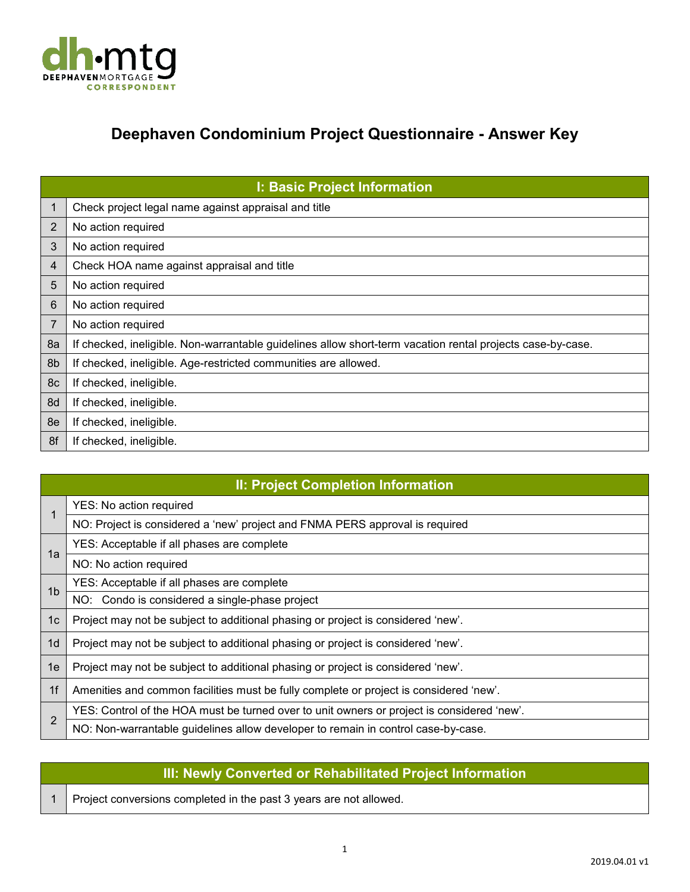

## **Deephaven Condominium Project Questionnaire - Answer Key**

|    | <b>I: Basic Project Information</b>                                                                        |
|----|------------------------------------------------------------------------------------------------------------|
| 1  | Check project legal name against appraisal and title                                                       |
| 2  | No action required                                                                                         |
| 3  | No action required                                                                                         |
| 4  | Check HOA name against appraisal and title                                                                 |
| 5  | No action required                                                                                         |
| 6  | No action required                                                                                         |
| 7  | No action required                                                                                         |
| 8a | If checked, ineligible. Non-warrantable guidelines allow short-term vacation rental projects case-by-case. |
| 8b | If checked, ineligible. Age-restricted communities are allowed.                                            |
| 8c | If checked, ineligible.                                                                                    |
| 8d | If checked, ineligible.                                                                                    |
| 8e | If checked, ineligible.                                                                                    |
| 8f | If checked, ineligible.                                                                                    |

|                | <b>II: Project Completion Information</b>                                                  |
|----------------|--------------------------------------------------------------------------------------------|
|                | YES: No action required                                                                    |
|                | NO: Project is considered a 'new' project and FNMA PERS approval is required               |
| 1a             | YES: Acceptable if all phases are complete                                                 |
|                | NO: No action required                                                                     |
| 1 <sub>b</sub> | YES: Acceptable if all phases are complete                                                 |
|                | NO: Condo is considered a single-phase project                                             |
| 1 <sub>c</sub> | Project may not be subject to additional phasing or project is considered 'new'.           |
| 1 <sub>d</sub> | Project may not be subject to additional phasing or project is considered 'new'.           |
| 1e             | Project may not be subject to additional phasing or project is considered 'new'.           |
| 1f             | Amenities and common facilities must be fully complete or project is considered 'new'.     |
| 2              | YES: Control of the HOA must be turned over to unit owners or project is considered 'new'. |
|                | NO: Non-warrantable guidelines allow developer to remain in control case-by-case.          |

## **III: Newly Converted or Rehabilitated Project Information**

1 Project conversions completed in the past 3 years are not allowed.